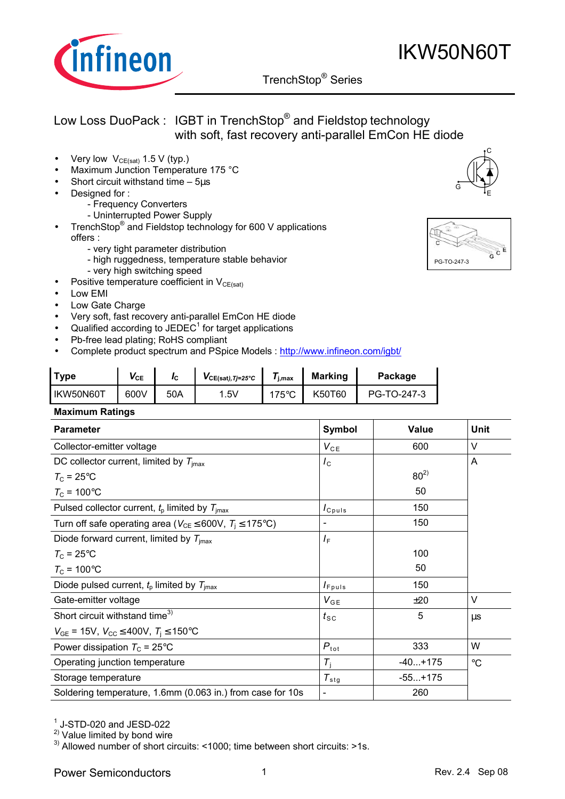

## TrenchStop® Series q

- Very low  $V_{CE(sat)}$  1.5 V (typ.)
- Maximum Junction Temperature 175 °C
- Short circuit withstand time 5µs
- Designed for:
	- Frequency Converters
	- Uninterrupted Power Supply
- TrenchStop<sup>®</sup> and Fieldstop technology for 600 V applications offers :
	- very tight parameter distribution
	- high ruggedness, temperature stable behavior - very high switching speed
	-
- Positive temperature coefficient in  $V_{CE(sat)}$
- Low EMI
- Low Gate Charge
- Very soft, fast recovery anti-parallel EmCon HE diode
- $\bullet$  Qualified according to JEDEC<sup>1</sup> for target applications
- Pb-free lead plating; RoHS compliant
- Complete product spectrum and PSpice Models : http://www.infineon.com/igbt/

| ⊺vpe      | VCE  | Ιc  | $VCE(sat)$ , Tj=25°C | i.max          | <b>Marking</b> | Package     |
|-----------|------|-----|----------------------|----------------|----------------|-------------|
| IKW50N60T | 600V | 50A | .5V                  | $75^{\circ}$ C | K50T60         | PG-TO-247-3 |

#### **Maximum Ratings**

| <b>Parameter</b>                                                              | <b>Symbol</b>                 | Value     | <b>Unit</b>     |
|-------------------------------------------------------------------------------|-------------------------------|-----------|-----------------|
| Collector-emitter voltage                                                     | $V_{CE}$                      | 600       | V               |
| DC collector current, limited by $T_{\text{imax}}$                            | $I_{\rm C}$                   |           | A               |
| $T_{\rm C}$ = 25°C                                                            |                               | $80^{2}$  |                 |
| $T_{\rm C}$ = 100°C                                                           |                               | 50        |                 |
| Pulsed collector current, $t_p$ limited by $T_{\text{imax}}$                  | $I_{C^{puls}}$                | 150       |                 |
| Turn off safe operating area ( $V_{CE} \leq 600V$ , $T_i \leq 175^{\circ}C$ ) |                               | 150       |                 |
| Diode forward current, limited by $T_{\text{imax}}$                           | $I_{\mathsf{F}}$              |           |                 |
| $T_{\rm C}$ = 25°C                                                            |                               | 100       |                 |
| $T_c$ = 100 $\degree$ C                                                       |                               | 50        |                 |
| Diode pulsed current, $t_p$ limited by $T_{\text{imax}}$                      | $I_{F^{p}uls}$                | 150       |                 |
| Gate-emitter voltage                                                          | $V_{GE}$                      | ±20       | V               |
| Short circuit withstand time <sup>3)</sup>                                    | $t_{\scriptstyle\textrm{SC}}$ | 5         | $\mu$ s         |
| $V_{GE}$ = 15V, $V_{CC} \leq 400V$ , $T_i \leq 150^{\circ}C$                  |                               |           |                 |
| Power dissipation $T_c = 25^{\circ}$ C                                        | $P_{\text{tot}}$              | 333       | W               |
| Operating junction temperature                                                | $T_i$                         | $-40+175$ | $\rm ^{\circ}C$ |
| Storage temperature                                                           | $T_{\rm stg}$                 | $-55+175$ |                 |
| Soldering temperature, 1.6mm (0.063 in.) from case for 10s                    | $\blacksquare$                | 260       |                 |

 $<sup>1</sup>$  J-STD-020 and JESD-022</sup>

2) Value limited by bond wire

<sup>3)</sup> Allowed number of short circuits: <1000; time between short circuits: >1s.

Power Semiconductors 1 and 1 and 1 Rev. 2.4 Sep 08





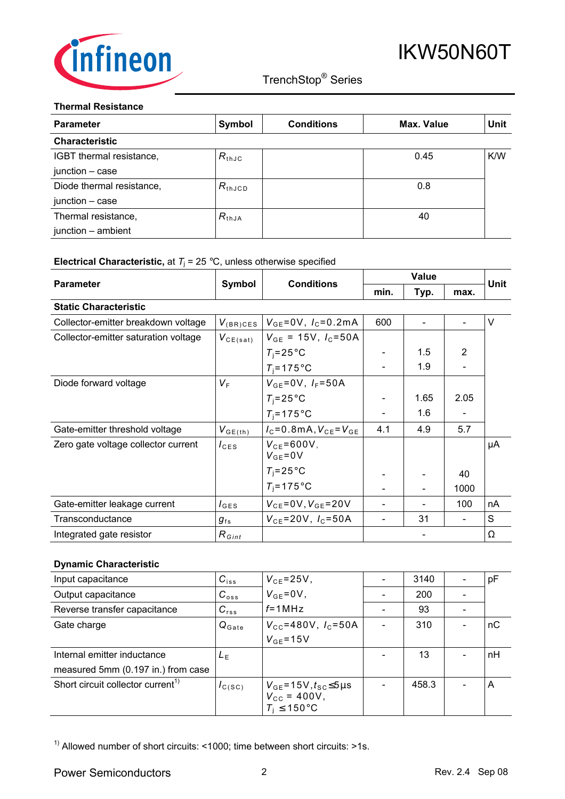

## TrenchStop® Series q

### **Thermal Resistance**

| <b>Parameter</b>          | Symbol          | <b>Conditions</b> | Max. Value | Unit |
|---------------------------|-----------------|-------------------|------------|------|
| <b>Characteristic</b>     |                 |                   |            |      |
| IGBT thermal resistance,  | $R_{thJC}$      |                   | 0.45       | K/W  |
| junction - case           |                 |                   |            |      |
| Diode thermal resistance, | $R_{\rm thJCD}$ |                   | 0.8        |      |
| junction - case           |                 |                   |            |      |
| Thermal resistance,       | $R_{thJA}$      |                   | 40         |      |
| junction - ambient        |                 |                   |            |      |

### **Electrical Characteristic,** at  $T_j$  = 25 °C, unless otherwise specified

|                                      |                   | Symbol<br><b>Conditions</b>         |      | <b>Value</b>             |      |      |
|--------------------------------------|-------------------|-------------------------------------|------|--------------------------|------|------|
| <b>Parameter</b>                     |                   |                                     | min. | Typ.                     | max. | Unit |
| <b>Static Characteristic</b>         |                   |                                     |      |                          |      |      |
| Collector-emitter breakdown voltage  | $V_{\rm (BR)CES}$ | $V_{GE} = 0V$ , $I_C = 0.2mA$       | 600  | $\overline{\phantom{a}}$ |      | V    |
| Collector-emitter saturation voltage | $V_{CE(sat)}$     | $V_{GE}$ = 15V, $I_C$ =50A          |      |                          |      |      |
|                                      |                   | $T_i = 25^{\circ}$ C                |      | 1.5                      | 2    |      |
|                                      |                   | $T_i = 175$ °C                      |      | 1.9                      |      |      |
| Diode forward voltage                | $V_{\rm F}$       | $V_{GE} = 0V$ , $I_F = 50A$         |      |                          |      |      |
|                                      |                   | $T_i = 25^{\circ}$ C                |      | 1.65                     | 2.05 |      |
|                                      |                   | $T_i = 175$ °C                      |      | 1.6                      |      |      |
| Gate-emitter threshold voltage       | $V_{GE(th)}$      | $I_{C} = 0.8$ mA, $V_{CE} = V_{GE}$ | 4.1  | 4.9                      | 5.7  |      |
| Zero gate voltage collector current  | $I_{\text{CES}}$  | $V_{CF}$ =600V,<br>$V_{GE} = 0V$    |      |                          |      | μA   |
|                                      |                   | $T_i = 25^{\circ}$ C                |      |                          | 40   |      |
|                                      |                   | $T_i = 175$ °C                      |      | $\overline{\phantom{0}}$ | 1000 |      |
| Gate-emitter leakage current         | $I_{\text{GES}}$  | $V_{CE} = 0V, V_{GE} = 20V$         |      |                          | 100  | nA   |
| Transconductance                     | $g_{fs}$          | $V_{CE} = 20V$ , $I_C = 50A$        |      | 31                       |      | S    |
| Integrated gate resistor             | $R_{Gint}$        |                                     |      |                          |      | Ω    |

## **Dynamic Characteristic**

| Input capacitance                             | $C_{iss}$         | $V_{CE} = 25V$ ,                                                                    | 3140  | pF |
|-----------------------------------------------|-------------------|-------------------------------------------------------------------------------------|-------|----|
| Output capacitance                            | $C_{\text{oss}}$  | $V_{GE} = 0V$ ,                                                                     | 200   |    |
| Reverse transfer capacitance                  | $C_{rss}$         | $f = 1$ MHz                                                                         | 93    |    |
| Gate charge                                   | $Q_{\text{Gate}}$ | $V_{\text{cc}}$ =480V, $I_{\text{c}}$ =50A                                          | 310   | nС |
|                                               |                   | $V_{GE}$ =15V                                                                       |       |    |
| Internal emitter inductance                   | $L_{F}$           |                                                                                     | 13    | nH |
| measured 5mm (0.197 in.) from case            |                   |                                                                                     |       |    |
| Short circuit collector current <sup>1)</sup> | $I_{C(SC)}$       | $V_{GE}$ =15V, $t_{SC}$ ≤5µs<br>$V_{\text{CC}} = 400V,$<br>$T_i \leq 150^{\circ}$ C | 458.3 | A  |

 $1)$  Allowed number of short circuits: <1000; time between short circuits: >1s.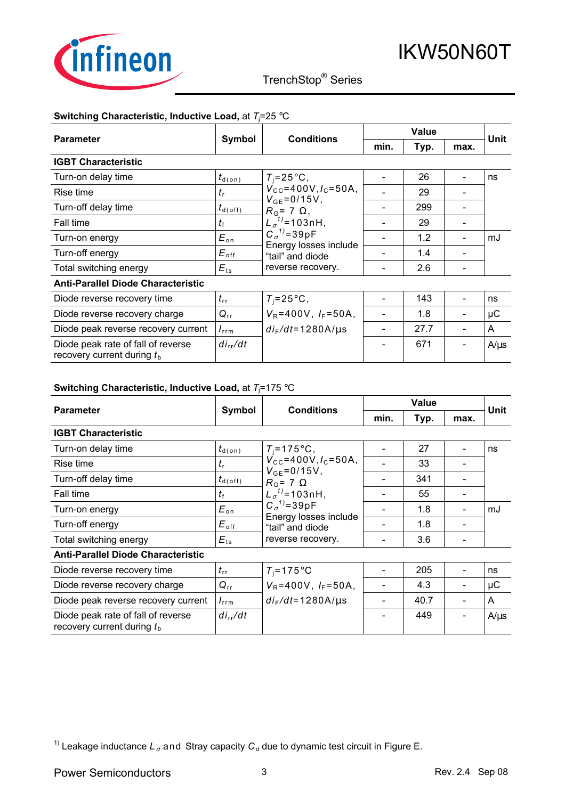

## TrenchStop® Series q

### **Switching Characteristic, Inductive Load,** at *T*<sup>j</sup> =25 °C

|                                                                    |                             |                                                                                                        | <b>Value</b> |      |      | Unit      |
|--------------------------------------------------------------------|-----------------------------|--------------------------------------------------------------------------------------------------------|--------------|------|------|-----------|
| <b>Parameter</b>                                                   | <b>Conditions</b><br>Symbol |                                                                                                        | min.         | Typ. | max. |           |
| <b>IGBT Characteristic</b>                                         |                             |                                                                                                        |              |      |      |           |
| Turn-on delay time                                                 | $t_{\text{d}(on)}$          | $T_i = 25^{\circ}$ C,                                                                                  |              | 26   |      | ns        |
| Rise time                                                          | $t_{\rm r}$                 | $V_{\text{cc}}$ =400V, $I_{\text{c}}$ =50A,                                                            |              | 29   |      |           |
| Turn-off delay time                                                | $t_{\sf d(\sf off)}$        | $V_{GE} = 0/15V,$<br>$R_{\rm G}$ = 7 $\Omega$ ,<br>$L_{\sigma}^{1}$ = 103nH,<br>$C_{\sigma}^{1}$ =39pF |              | 299  |      |           |
| Fall time                                                          | tŧ                          |                                                                                                        |              | 29   |      |           |
| Turn-on energy                                                     | $E_{\rm on}$                |                                                                                                        |              | 1.2  |      | mJ        |
| Turn-off energy                                                    | $E_{\mathsf{off}}$          | Energy losses include<br>"tail" and diode                                                              |              | 1.4  |      |           |
| Total switching energy                                             | $E_{\text{ts}}$             | reverse recovery.                                                                                      |              | 2.6  |      |           |
| <b>Anti-Parallel Diode Characteristic</b>                          |                             |                                                                                                        |              |      |      |           |
| Diode reverse recovery time                                        | $t_{\rm rr}$                | $T_i = 25^{\circ}$ C,                                                                                  |              | 143  |      | ns        |
| Diode reverse recovery charge                                      | $Q_{rr}$                    | $V_R = 400V$ , $I_F = 50A$ ,                                                                           |              | 1.8  |      | μC        |
| Diode peak reverse recovery current                                | $I_{\rm rrm}$               | $di_F/dt = 1280A/\mu s$                                                                                |              | 27.7 |      | A         |
| Diode peak rate of fall of reverse<br>recovery current during $tb$ | $di_{rr}/dt$                |                                                                                                        |              | 671  |      | $A/\mu s$ |

### **Switching Characteristic, Inductive Load,** at *T*<sup>j</sup> =175 °C

|                                                                    |                          |                                                                                                       | <b>Value</b> |      |      |             |
|--------------------------------------------------------------------|--------------------------|-------------------------------------------------------------------------------------------------------|--------------|------|------|-------------|
| <b>Parameter</b>                                                   | Symbol                   | <b>Conditions</b>                                                                                     | min.         | Typ. | max. | <b>Unit</b> |
| <b>IGBT Characteristic</b>                                         |                          |                                                                                                       |              |      |      |             |
| Turn-on delay time                                                 | $t_{\text{\tiny d(0n)}}$ | $T_i = 175$ °C,                                                                                       |              | 27   |      | ns          |
| Rise time                                                          | $t_{\rm r}$              | $V_{\text{cc}}$ =400V, $I_{\text{c}}$ =50A,                                                           |              | 33   |      |             |
| Turn-off delay time                                                | $t_{\sf d(\sf off)}$     | $V_{GE} = 0/15V$ ,<br>$R_{\rm G}$ = 7 $\Omega$<br>$L_{\sigma}^{1}$ = 103nH,<br>$C_{\sigma}^{1}$ =39pF |              | 341  |      |             |
| Fall time                                                          | $t_{\rm f}$              |                                                                                                       |              | 55   |      |             |
| Turn-on energy                                                     | $E_{\rm on}$             |                                                                                                       |              | 1.8  |      | mJ          |
| Turn-off energy                                                    | $E_{\mathsf{off}}$       | Energy losses include<br>"tail" and diode                                                             |              | 1.8  |      |             |
| Total switching energy                                             | $E_{\text{ts}}$          | reverse recovery.                                                                                     |              | 3.6  |      |             |
| <b>Anti-Parallel Diode Characteristic</b>                          |                          |                                                                                                       |              |      |      |             |
| Diode reverse recovery time                                        | $t_{\rm rr}$             | $T_i = 175$ °C                                                                                        |              | 205  |      | ns          |
| Diode reverse recovery charge                                      | $Q_{rr}$                 | $V_R = 400V$ , $I_F = 50A$ ,                                                                          |              | 4.3  |      | μC          |
| Diode peak reverse recovery current                                | $I_{\text{rrm}}$         | $di_F/dt = 1280A/\mu s$                                                                               |              | 40.7 |      | A           |
| Diode peak rate of fall of reverse<br>recovery current during $tb$ | $di_{rr}/dt$             |                                                                                                       |              | 449  |      | $A/\mu s$   |

<sup>1)</sup> Leakage inductance  $L_{\sigma}$  and Stray capacity  $C_{\sigma}$  due to dynamic test circuit in Figure E.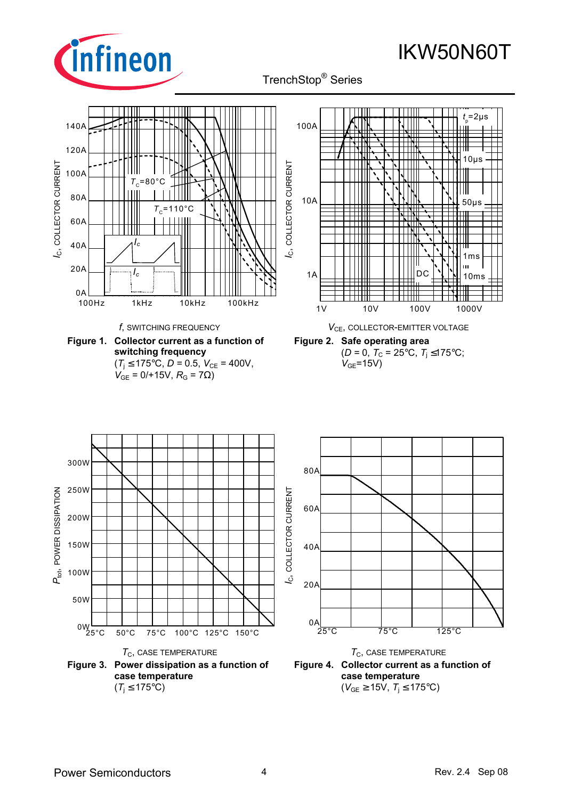

## TrenchStop® Series q

IKW50N60T

#### *t* <sup>p</sup>=2µs 140A 100A 120A  $10\mu s$ C, COLLECTOR CURRENT *I*C, COLLECTOR CURRENT C, COLLECTOR CURRENT *I*C, COLLECTOR CURRENT 100A  $T_c$ =80°C 80A 10A 50µs  $T_c$ =110°C 60A 40A *Ic* ₩ 1ms Ш 20A *Ic*1A DC 10ms  $0A$ 100Hz 1kHz 10kHz 100kHz 1V 10V 100V 1000V *f*, SWITCHING FREQUENCY *V*<sub>CE</sub>, COLLECTOR-EMITTER VOLTAGE **Figure 1. Collector current as a function of Figure 2. Safe operating area switching frequency**   $(D = 0, T_c = 25^{\circ}C, T_i \le 175^{\circ}C;$  $V_{GF}$ =15V)  $(T_i \le 175^{\circ} \text{C}, D = 0.5, V_{CE} = 400 \text{V},$  $V_{GE} = 0/+15V, R_G = 7Ω$ ) 300W 80A 250W P<sub>tot</sub>, POWER DISSIPATION *l*c, COLLECTOR CURRENT *I*C, COLLECTOR CURRENT *P*tot, POWER DISSIPATION 60A 200W 150W 40A 100W 20A 50W  $0<sub>A</sub>$ 0W 35°C 50°C 75°C 100°C 125°C 150°C 25°C 75°C 125°C  $T_{C}$ , CASE TEMPERATURE  $T_{C}$ , CASE TEMPERATURE **Figure 3. Power dissipation as a function of Figure 4. Collector current as a function of case temperature case temperature**

 $(T_i \leq 175^{\circ}C)$ 

 $(V_{GE}$  ≥ 15V,  $T_i$  ≤ 175°C)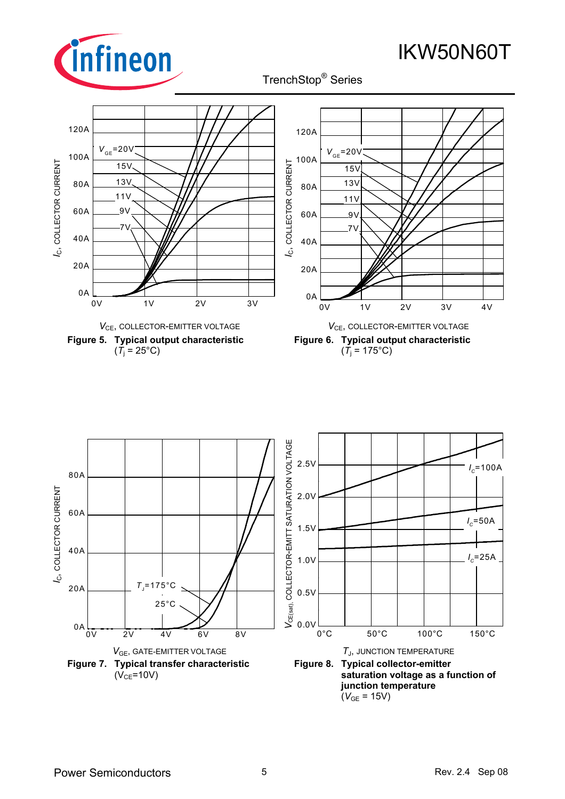

TrenchStop® Series q



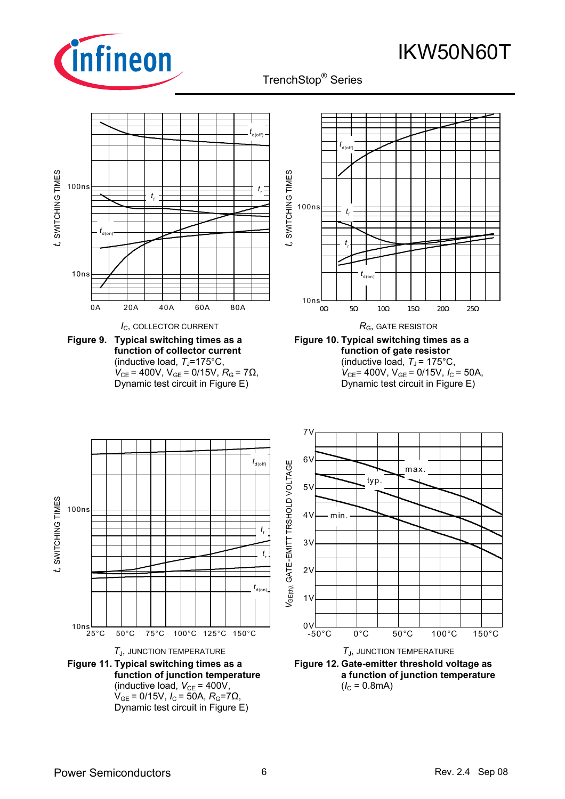

TrenchStop® Series q

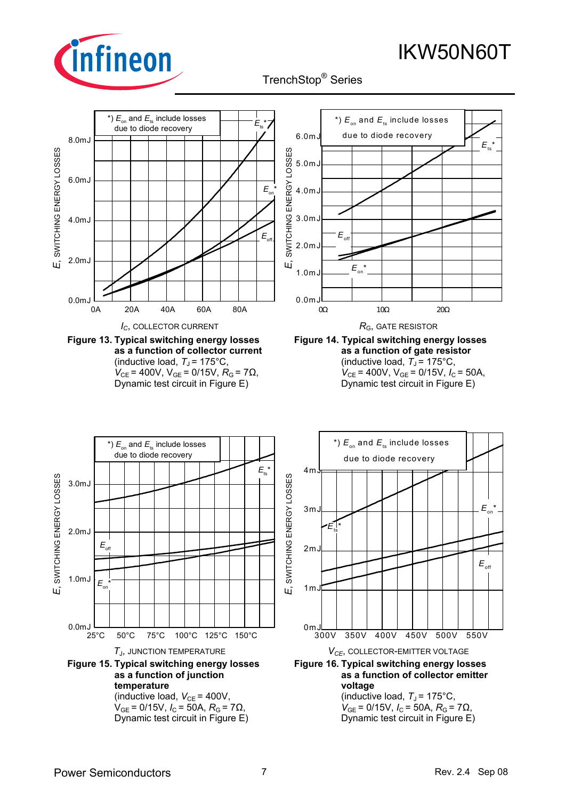

TrenchStop® Series q

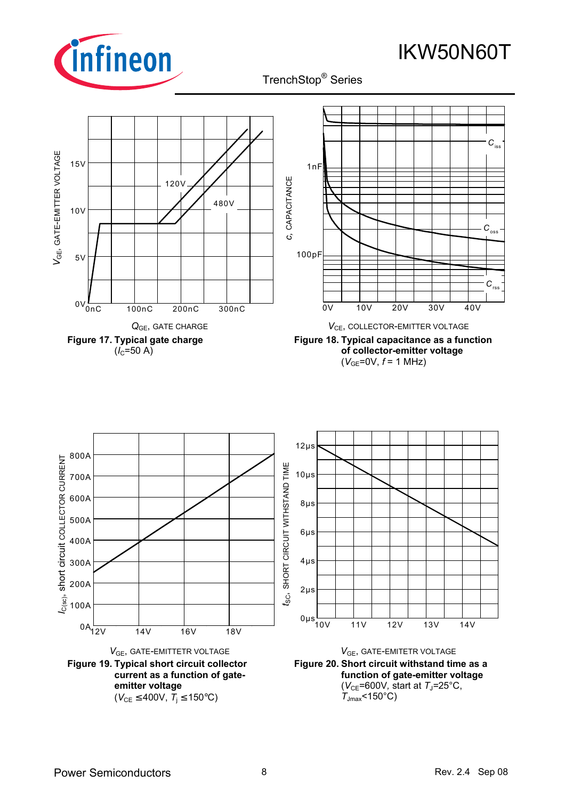

TrenchStop® Series q





**Figure 18. Typical capacitance as a function of collector-emitter voltage**   $(V_{GE}=0V, f=1 MHz)$ 

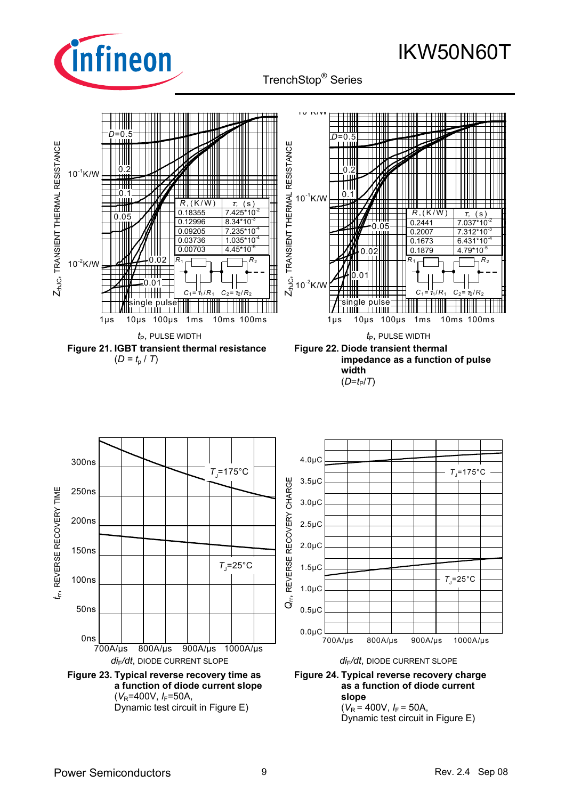

# TrenchStop® Series q

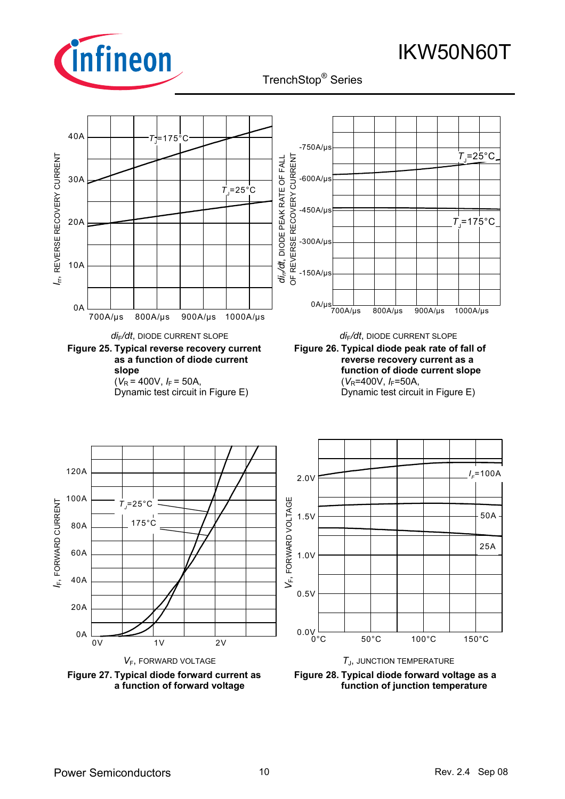

TrenchStop® Series q

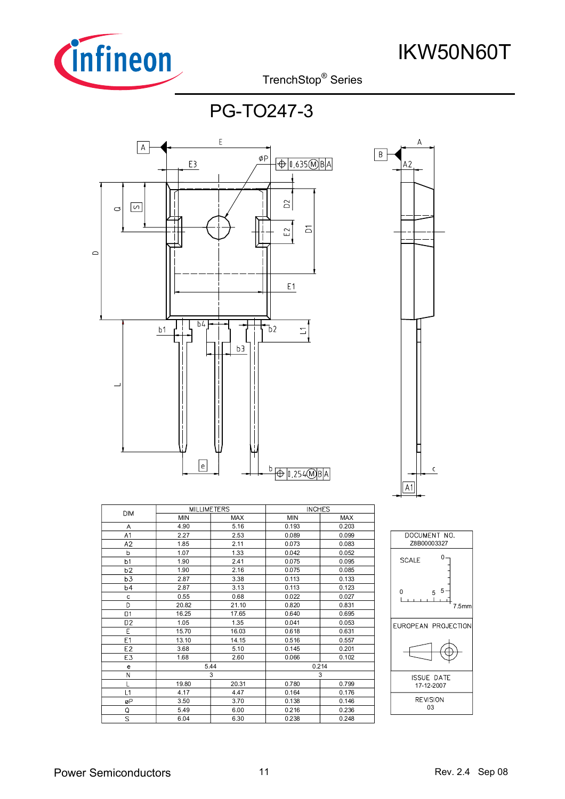

TrenchStop® Series q

PG-TO247-3



|                | <b>MILLIMETERS</b> |            | <b>INCHES</b> |            |
|----------------|--------------------|------------|---------------|------------|
| <b>DIM</b>     | <b>MIN</b>         | <b>MAX</b> | <b>MIN</b>    | <b>MAX</b> |
| Α              | 4.90               | 5.16       | 0.193         | 0.203      |
| A <sub>1</sub> | 2.27               | 2.53       | 0.089         | 0.099      |
| A2             | 1.85               | 2.11       | 0.073         | 0.083      |
| b              | 1.07               | 1.33       | 0.042         | 0.052      |
| b1             | 1.90               | 2.41       | 0.075         | 0.095      |
| b2             | 1.90               | 2.16       | 0.075         | 0.085      |
| b3             | 2.87               | 3.38       | 0.113         | 0.133      |
| <b>b4</b>      | 2.87               | 3.13       | 0.113         | 0.123      |
| C              | 0.55               | 0.68       | 0.022         | 0.027      |
| D              | 20.82              | 21.10      | 0.820         | 0.831      |
| D <sub>1</sub> | 16.25              | 17.65      | 0.640         | 0.695      |
| D <sub>2</sub> | 1.05               | 1.35       | 0.041         | 0.053      |
| E              | 15.70              | 16.03      | 0.618         | 0.631      |
| E <sub>1</sub> | 13.10              | 14.15      | 0.516         | 0.557      |
| E <sub>2</sub> | 3.68               | 5.10       | 0.145         | 0.201      |
| E3             | 1.68               | 2.60       | 0.066         | 0.102      |
| e              |                    | 5.44       | 0.214         |            |
| N              |                    | 3          | 3             |            |
|                | 19.80              | 20.31      | 0.780         | 0.799      |
| L1             | 4.17               | 4.47       | 0.164         | 0.176      |
| øP             | 3.50               | 3.70       | 0.138         | 0.146      |
| Q              | 5.49               | 6.00       | 0.216         | 0.236      |
| S              | 6.04               | 6.30       | 0.238         | 0.248      |



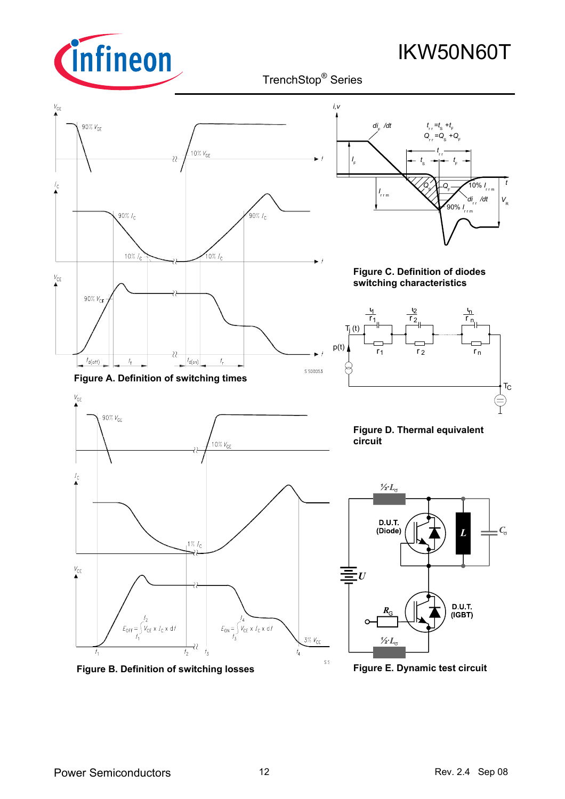

 IKW50N60T TrenchStop® Series q



**Figure E. Dynamic test circuit**